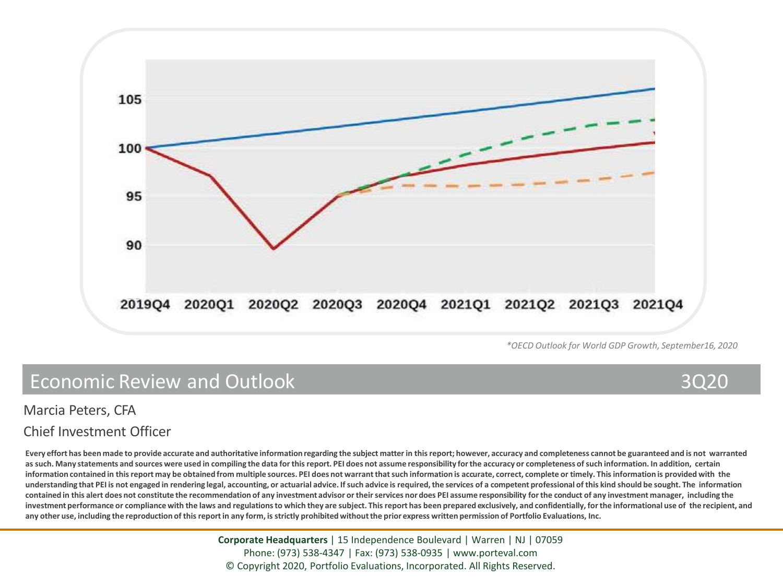

*\*OECD Outlook for World GDP Growth, September16, 2020* 

# Economic Review and Outlook 3Q20

#### Marcia Peters, CFA

#### Chief Investment Officer

**Every effort has been made to provide accurate and authoritative information regarding the subject matter in this report; however, accuracy and completeness cannot be guaranteed and is not warranted as such. Many statements and sources were used in compiling the data for this report. PEI does not assume responsibility for the accuracy or completeness of such information. In addition, certain information contained in this report may be obtained from multiple sources. PEI does not warrant that such information is accurate, correct, complete or timely. This information is provided with the understanding that PEI is not engaged in rendering legal, accounting, or actuarial advice. If such advice is required, the services of a competent professional of this kind should be sought. The information**  contained in this alert does not constitute the recommendation of any investment advisor or their services nor does PEI assume responsibility for the conduct of any investment manager, including the **investment performance or compliance with the laws and regulations to which they are subject. This report has been prepared exclusively, and confidentially, for the informational use of the recipient, and any other use, including the reproduction of this report in any form, is strictly prohibited without the prior express written permission of Portfolio Evaluations, Inc.**

> **Corporate Headquarters** | 15 Independence Boulevard | Warren | NJ | 07059 Phone: (973) 538-4347 | Fax: (973) 538-0935 | www.porteval.com © Copyright 2020, Portfolio Evaluations, Incorporated. All Rights Reserved.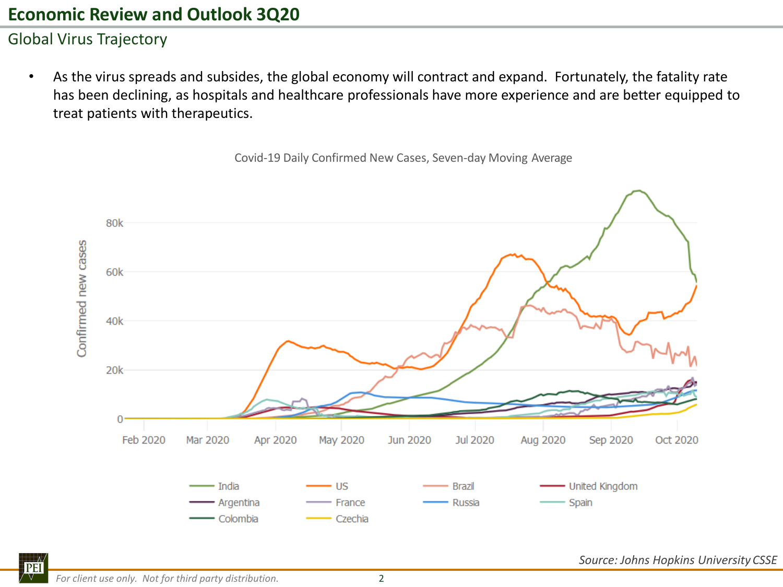## Global Virus Trajectory

• As the virus spreads and subsides, the global economy will contract and expand. Fortunately, the fatality rate has been declining, as hospitals and healthcare professionals have more experience and are better equipped to treat patients with therapeutics.

80k Confirmed new cases 60k 40k  $20k$ 0 Feb 2020 Mar 2020 Apr 2020 May 2020 **Jun 2020 Jul 2020** Aug 2020 Sep 2020 Oct 2020 - United Kingdom India US **Brazil** - Argentina Spain • France **Russia** Colombia - Czechia

Covid‐19 Daily Confirmed New Cases, Seven‐day Moving Average

*Source: Johns Hopkins University CSSE*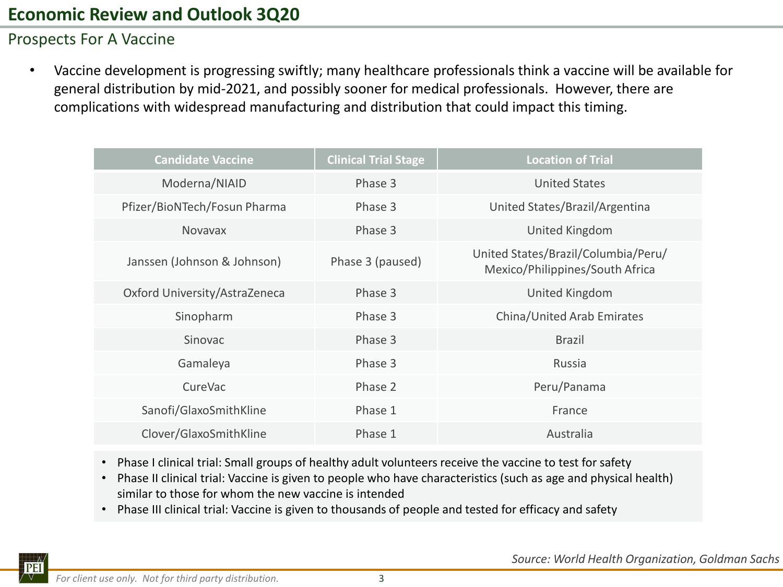## Prospects For A Vaccine

• Vaccine development is progressing swiftly; many healthcare professionals think a vaccine will be available for general distribution by mid-2021, and possibly sooner for medical professionals. However, there are complications with widespread manufacturing and distribution that could impact this timing.

| <b>Candidate Vaccine</b>      | <b>Clinical Trial Stage</b> | <b>Location of Trial</b>                                               |
|-------------------------------|-----------------------------|------------------------------------------------------------------------|
| Moderna/NIAID                 | Phase 3                     | <b>United States</b>                                                   |
| Pfizer/BioNTech/Fosun Pharma  | Phase 3                     | United States/Brazil/Argentina                                         |
| <b>Novavax</b>                | Phase 3                     | <b>United Kingdom</b>                                                  |
| Janssen (Johnson & Johnson)   | Phase 3 (paused)            | United States/Brazil/Columbia/Peru/<br>Mexico/Philippines/South Africa |
| Oxford University/AstraZeneca | Phase 3                     | United Kingdom                                                         |
| Sinopharm                     | Phase 3                     | China/United Arab Emirates                                             |
| <b>Sinovac</b>                | Phase 3                     | <b>Brazil</b>                                                          |
| Gamaleya                      | Phase 3                     | Russia                                                                 |
| CureVac                       | Phase 2                     | Peru/Panama                                                            |
| Sanofi/GlaxoSmithKline        | Phase 1                     | France                                                                 |
| Clover/GlaxoSmithKline        | Phase 1                     | Australia                                                              |

- Phase I clinical trial: Small groups of healthy adult volunteers receive the vaccine to test for safety
- Phase II clinical trial: Vaccine is given to people who have characteristics (such as age and physical health) similar to those for whom the new vaccine is intended
- Phase III clinical trial: Vaccine is given to thousands of people and tested for efficacy and safety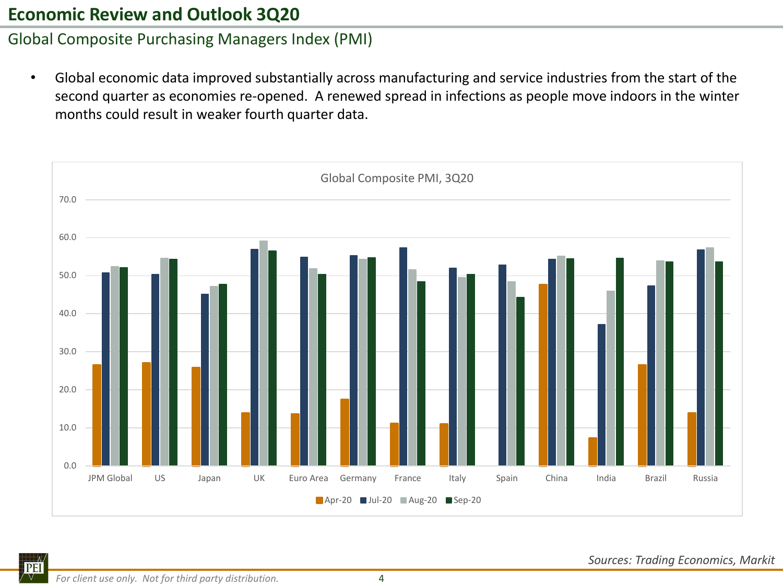## Global Composite Purchasing Managers Index (PMI)

• Global economic data improved substantially across manufacturing and service industries from the start of the second quarter as economies re-opened. A renewed spread in infections as people move indoors in the winter months could result in weaker fourth quarter data.

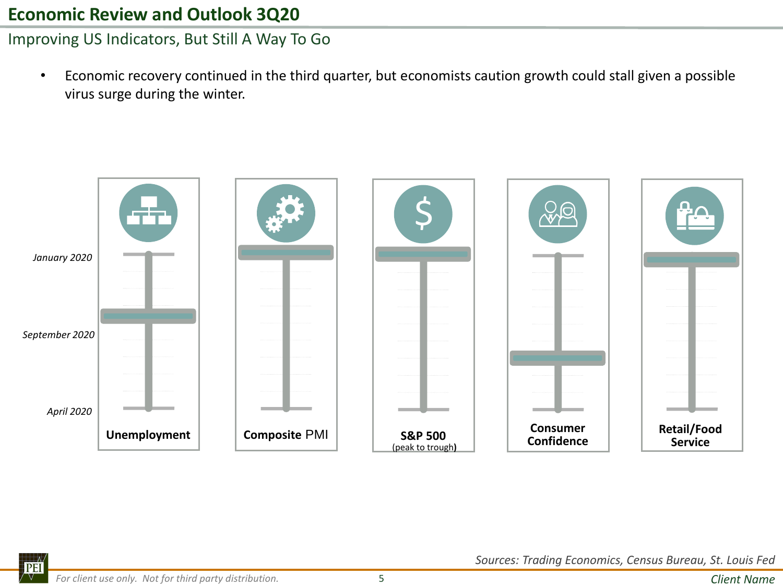Improving US Indicators, But Still A Way To Go

• Economic recovery continued in the third quarter, but economists caution growth could stall given a possible virus surge during the winter.

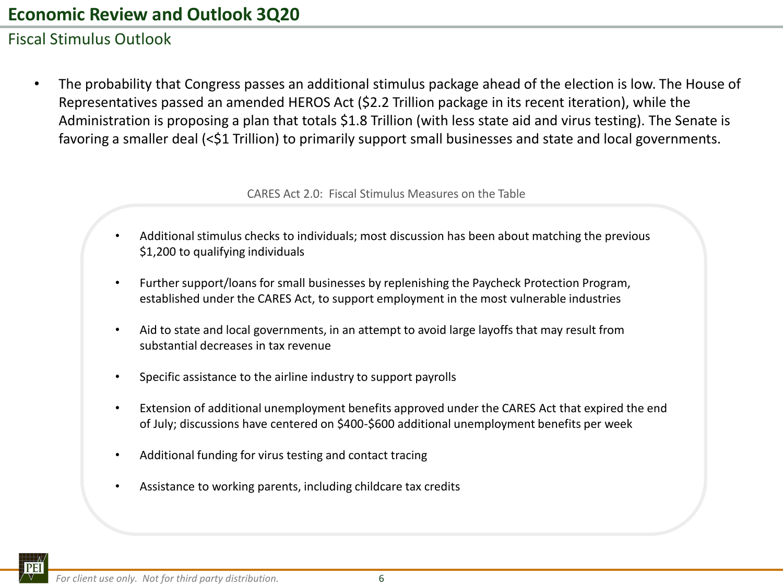## Fiscal Stimulus Outlook

• The probability that Congress passes an additional stimulus package ahead of the election is low. The House of Representatives passed an amended HEROS Act (\$2.2 Trillion package in its recent iteration), while the Administration is proposing a plan that totals \$1.8 Trillion (with less state aid and virus testing). The Senate is favoring a smaller deal (<\$1 Trillion) to primarily support small businesses and state and local governments.

CARES Act 2.0: Fiscal Stimulus Measures on the Table

- Additional stimulus checks to individuals; most discussion has been about matching the previous \$1,200 to qualifying individuals
- Further support/loans for small businesses by replenishing the Paycheck Protection Program, established under the CARES Act, to support employment in the most vulnerable industries
- Aid to state and local governments, in an attempt to avoid large layoffs that may result from substantial decreases in tax revenue
- Specific assistance to the airline industry to support payrolls
- Extension of additional unemployment benefits approved under the CARES Act that expired the end of July; discussions have centered on \$400-\$600 additional unemployment benefits per week
- Additional funding for virus testing and contact tracing
- Assistance to working parents, including childcare tax credits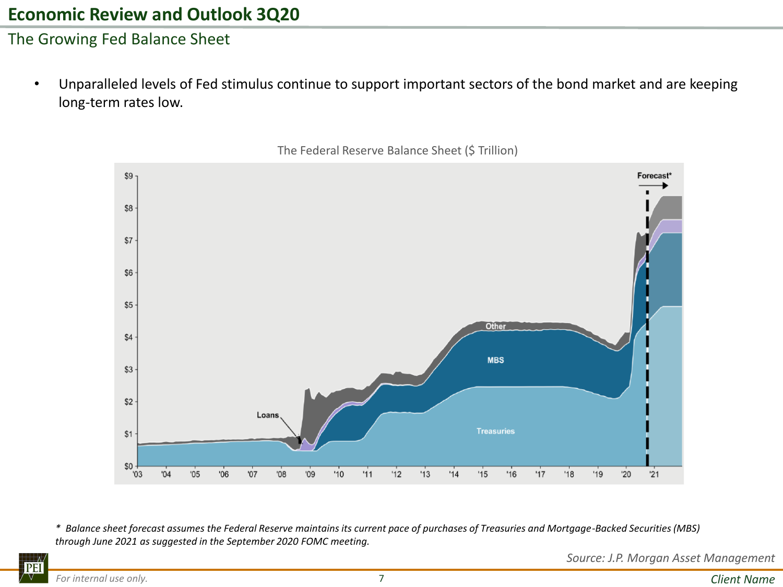#### The Growing Fed Balance Sheet

• Unparalleled levels of Fed stimulus continue to support important sectors of the bond market and are keeping long-term rates low.



The Federal Reserve Balance Sheet (\$ Trillion)

*\* Balance sheet forecast assumes the Federal Reserve maintains its current pace of purchases of Treasuries and Mortgage-Backed Securities (MBS) through June 2021 as suggested in the September 2020 FOMC meeting.*

*Source: J.P. Morgan Asset Management*

**PEI** V.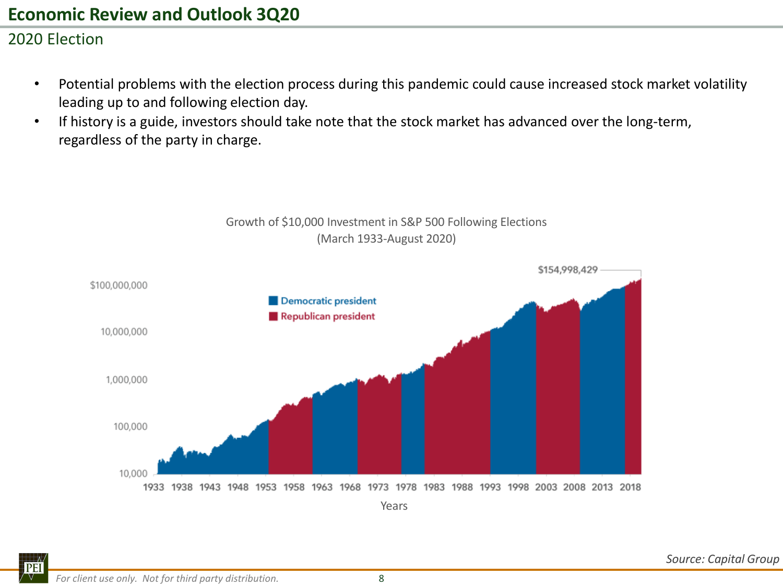## 2020 Election

• Potential problems with the election process during this pandemic could cause increased stock market volatility leading up to and following election day.

Growth of \$10,000 Investment in S&P 500 Following Elections

• If history is a guide, investors should take note that the stock market has advanced over the long-term, regardless of the party in charge.

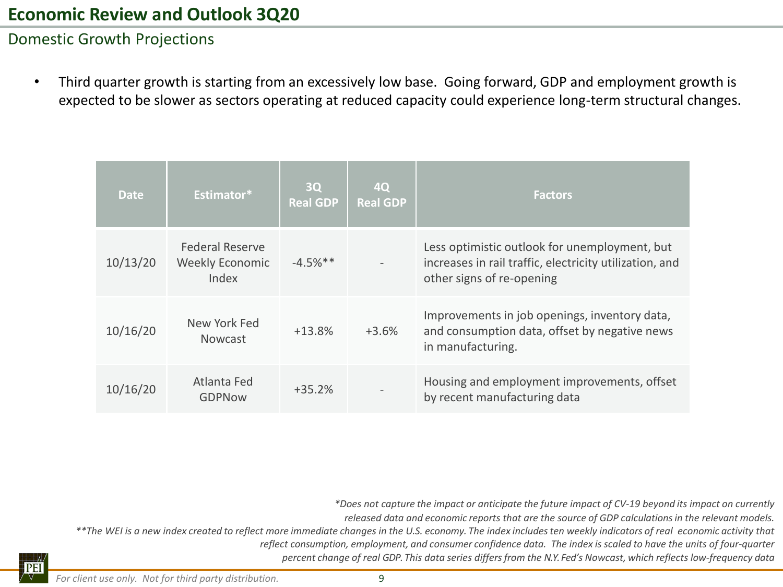#### Domestic Growth Projections

• Third quarter growth is starting from an excessively low base. Going forward, GDP and employment growth is expected to be slower as sectors operating at reduced capacity could experience long-term structural changes.

| <b>Date</b> | Estimator*                                         | 3Q<br><b>Real GDP</b> | 4Q<br><b>Real GDP</b> | <b>Factors</b>                                                                                                                        |
|-------------|----------------------------------------------------|-----------------------|-----------------------|---------------------------------------------------------------------------------------------------------------------------------------|
| 10/13/20    | <b>Federal Reserve</b><br>Weekly Economic<br>Index | $-4.5%$ **            |                       | Less optimistic outlook for unemployment, but<br>increases in rail traffic, electricity utilization, and<br>other signs of re-opening |
| 10/16/20    | New York Fed<br><b>Nowcast</b>                     | $+13.8%$              | $+3.6%$               | Improvements in job openings, inventory data,<br>and consumption data, offset by negative news<br>in manufacturing.                   |
| 10/16/20    | Atlanta Fed<br><b>GDPNow</b>                       | $+35.2%$              |                       | Housing and employment improvements, offset<br>by recent manufacturing data                                                           |

*percent change of real GDP. This data series differs from the N.Y. Fed's Nowcast, which reflects low‐frequency data \*Does not capture the impact or anticipate the future impact of CV‐19 beyond its impact on currently released data and economic reports that are the source of GDP calculations in the relevant models. \*\*The WEI is a new index created to reflect more immediate changes in the U.S. economy. The index includes ten weekly indicators of real economic activity that reflect consumption, employment, and consumer confidence data. The index is scaled to have the units of four‐quarter*

PEI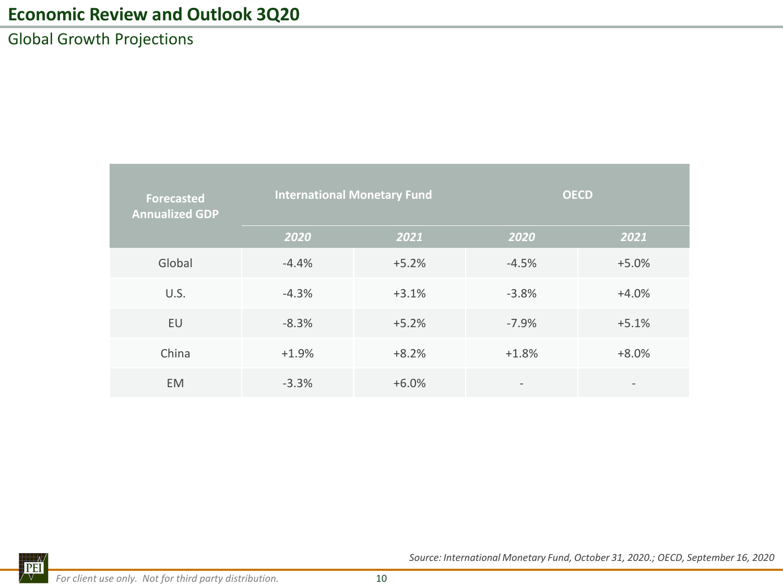Global Growth Projections

| <b>Forecasted</b><br><b>Annualized GDP</b> | <b>International Monetary Fund</b> |         | <b>OECD</b>              |                 |  |  |
|--------------------------------------------|------------------------------------|---------|--------------------------|-----------------|--|--|
|                                            | 2020                               | 2021    | 2020                     | 2021            |  |  |
| Global                                     | $-4.4%$                            | $+5.2%$ | $-4.5%$                  | $+5.0%$         |  |  |
| U.S.                                       | $-4.3%$                            | $+3.1%$ | $-3.8%$                  | $+4.0%$         |  |  |
| EU                                         | $-8.3%$                            | $+5.2%$ | $-7.9%$                  | $+5.1%$         |  |  |
| China                                      | $+1.9%$                            | $+8.2%$ | $+1.8%$                  | $+8.0%$         |  |  |
| <b>EM</b>                                  | $-3.3%$                            | $+6.0%$ | $\overline{\phantom{a}}$ | $\qquad \qquad$ |  |  |

*Source: International Monetary Fund, October 31, 2020.; OECD, September 16, 2020*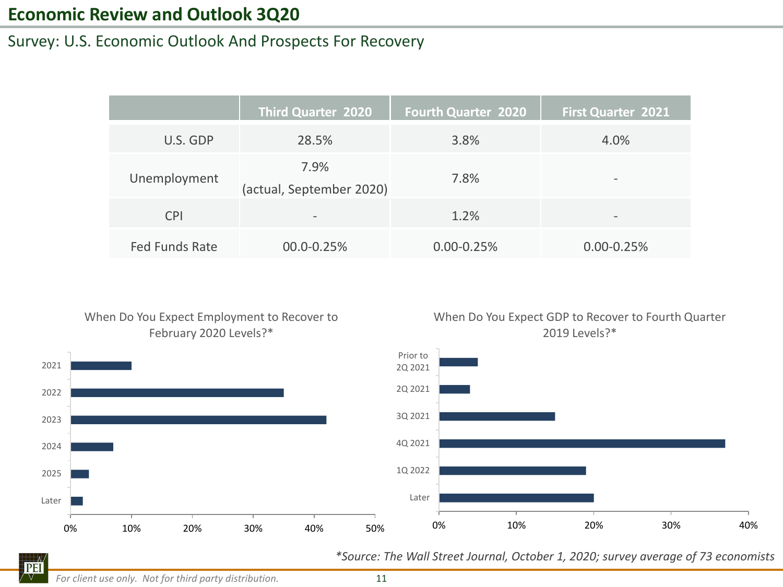#### Survey: U.S. Economic Outlook And Prospects For Recovery

|                       | <b>Third Quarter 2020</b>        | <b>Fourth Quarter 2020</b> | <b>First Quarter 2021</b> |
|-----------------------|----------------------------------|----------------------------|---------------------------|
| U.S. GDP              | 28.5%                            | 3.8%                       | 4.0%                      |
| Unemployment          | 7.9%<br>(actual, September 2020) | 7.8%                       | -                         |
| <b>CPI</b>            | $\qquad \qquad \blacksquare$     | 1.2%                       | $\overline{\phantom{a}}$  |
| <b>Fed Funds Rate</b> | 00.0-0.25%                       | $0.00 - 0.25%$             | $0.00 - 0.25%$            |

#### When Do You Expect Employment to Recover to February 2020 Levels?\*







**PEI** V.

*For client use only. Not for third party distribution.* 11

*\*Source: The Wall Street Journal, October 1, 2020; survey average of 73 economists*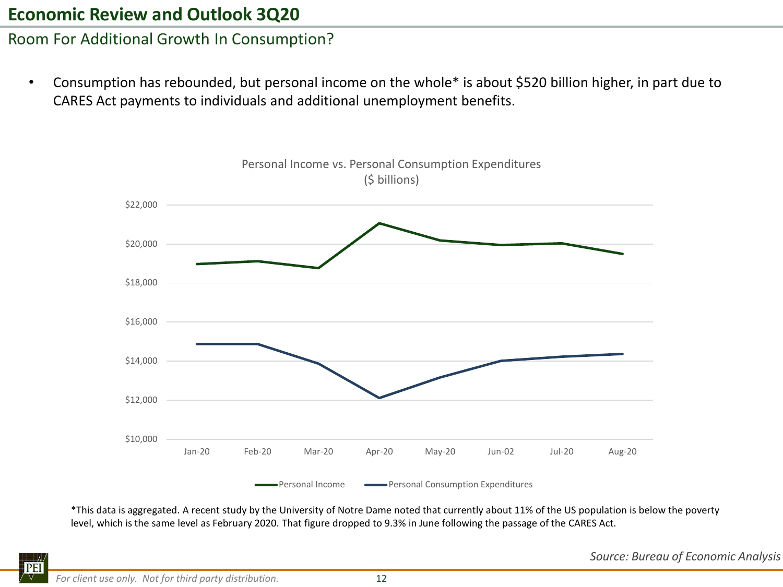## Room For Additional Growth In Consumption?

• Consumption has rebounded, but personal income on the whole\* is about \$520 billion higher, in part due to CARES Act payments to individuals and additional unemployment benefits.



\*This data is aggregated. A recent study by the University of Notre Dame noted that currently about 11% of the US population is below the poverty level, which is the same level as February 2020. That figure dropped to 9.3% in June following the passage of the CARES Act.

*Source: Bureau of Economic Analysis*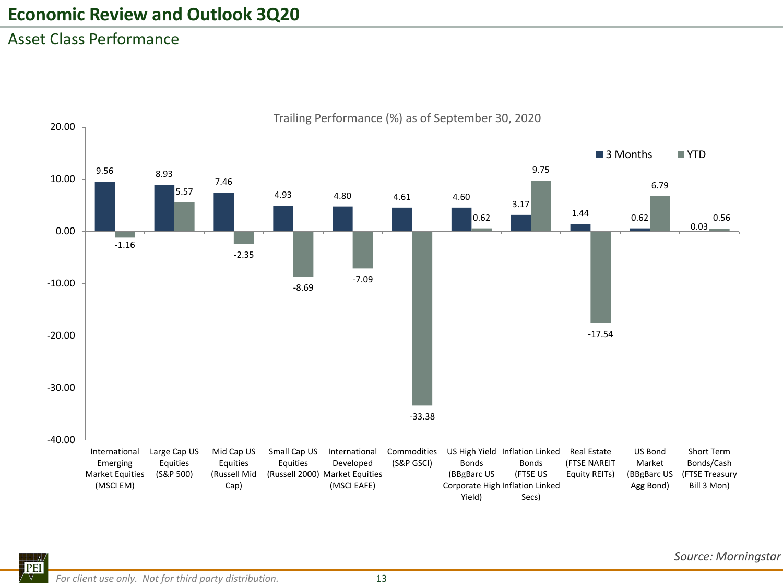## Asset Class Performance



Trailing Performance (%) as of September 30, 2020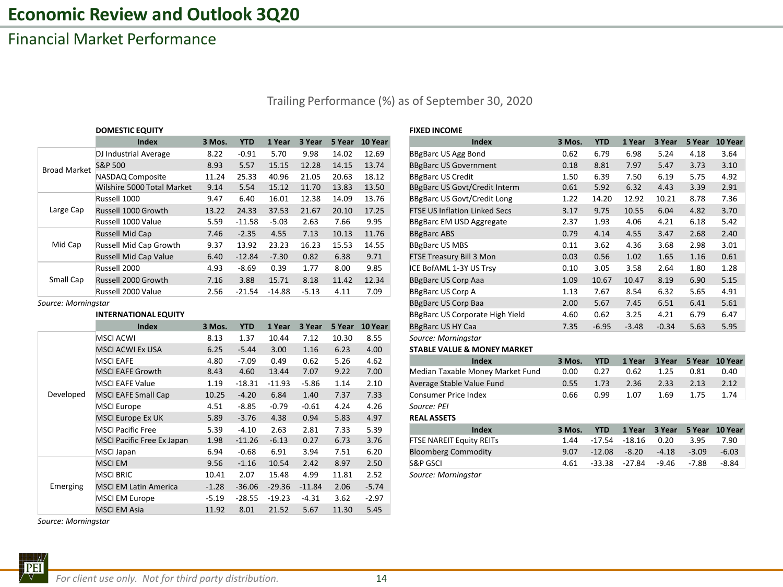## Financial Market Performance

Trailing Performance (%) as of September 30, 2020

|                     | <b>DOMESTIC EQUITY</b>       |        |            |          |         |        |         | <b>FIXED INCOME</b>      |
|---------------------|------------------------------|--------|------------|----------|---------|--------|---------|--------------------------|
|                     | <b>Index</b>                 | 3 Mos. | <b>YTD</b> | 1 Year   | 3 Year  | 5 Year | 10 Year |                          |
|                     | DJ Industrial Average        | 8.22   | $-0.91$    | 5.70     | 9.98    | 14.02  | 12.69   | <b>BBgBarc US Agg</b>    |
| <b>Broad Market</b> | S&P 500                      | 8.93   | 5.57       | 15.15    | 12.28   | 14.15  | 13.74   | <b>BBgBarc US Go</b>     |
|                     | NASDAQ Composite             | 11.24  | 25.33      | 40.96    | 21.05   | 20.63  | 18.12   | <b>BBgBarc US Cre</b>    |
|                     | Wilshire 5000 Total Market   | 9.14   | 5.54       | 15.12    | 11.70   | 13.83  | 13.50   | <b>BBgBarc US Go</b>     |
|                     | Russell 1000                 | 9.47   | 6.40       | 16.01    | 12.38   | 14.09  | 13.76   | <b>BBgBarc US Go</b>     |
| Large Cap           | Russell 1000 Growth          | 13.22  | 24.33      | 37.53    | 21.67   | 20.10  | 17.25   | <b>FTSE US Inflation</b> |
|                     | Russell 1000 Value           | 5.59   | $-11.58$   | $-5.03$  | 2.63    | 7.66   | 9.95    | <b>BBgBarc EM US</b>     |
|                     | <b>Russell Mid Cap</b>       | 7.46   | $-2.35$    | 4.55     | 7.13    | 10.13  | 11.76   | <b>BBgBarc ABS</b>       |
| Mid Cap             | Russell Mid Cap Growth       | 9.37   | 13.92      | 23.23    | 16.23   | 15.53  | 14.55   | <b>BBgBarc US ME</b>     |
|                     | <b>Russell Mid Cap Value</b> | 6.40   | $-12.84$   | $-7.30$  | 0.82    | 6.38   | 9.71    | <b>FTSE Treasury I</b>   |
|                     | Russell 2000                 | 4.93   | $-8.69$    | 0.39     | 1.77    | 8.00   | 9.85    | ICE BofAML 1-3           |
| Small Cap           | Russell 2000 Growth          | 7.16   | 3.88       | 15.71    | 8.18    | 11.42  | 12.34   | <b>BBgBarc US Cor</b>    |
|                     | Russell 2000 Value           | 2.56   | $-21.54$   | $-14.88$ | $-5.13$ | 4.11   | 7.09    | <b>BBgBarc US Cor</b>    |

#### **INTERNATIONAL EQUITY**

|           | <b>Index</b>                      | 3 Mos.  | <b>YTD</b> | 1 Year   | 3 Year   | 5 Year | 10 Year | <b>BBgBarc US</b>   |
|-----------|-----------------------------------|---------|------------|----------|----------|--------|---------|---------------------|
|           | <b>MSCI ACWI</b>                  | 8.13    | 1.37       | 10.44    | 7.12     | 10.30  | 8.55    | Source: Mc          |
|           | <b>MSCI ACWI Ex USA</b>           | 6.25    | $-5.44$    | 3.00     | 1.16     | 6.23   | 4.00    | <b>STABLE VA</b>    |
|           | <b>MSCI EAFE</b>                  | 4.80    | $-7.09$    | 0.49     | 0.62     | 5.26   | 4.62    |                     |
|           | <b>MSCI EAFE Growth</b>           | 8.43    | 4.60       | 13.44    | 7.07     | 9.22   | 7.00    | Median Ta:          |
|           | <b>MSCI EAFE Value</b>            | 1.19    | $-18.31$   | $-11.93$ | $-5.86$  | 1.14   | 2.10    | Average Sta         |
| Developed | <b>MSCI EAFE Small Cap</b>        | 10.25   | $-4.20$    | 6.84     | 1.40     | 7.37   | 7.33    | Consumer            |
|           | <b>MSCI Europe</b>                | 4.51    | $-8.85$    | $-0.79$  | $-0.61$  | 4.24   | 4.26    | Source: PEI         |
|           | <b>MSCI Europe Ex UK</b>          | 5.89    | $-3.76$    | 4.38     | 0.94     | 5.83   | 4.97    | <b>REAL ASSE</b>    |
|           | <b>MSCI Pacific Free</b>          | 5.39    | $-4.10$    | 2.63     | 2.81     | 7.33   | 5.39    |                     |
|           | <b>MSCI Pacific Free Ex Japan</b> | 1.98    | $-11.26$   | $-6.13$  | 0.27     | 6.73   | 3.76    | <b>FTSE NARE</b>    |
|           | MSCI Japan                        | 6.94    | $-0.68$    | 6.91     | 3.94     | 7.51   | 6.20    | Bloomberg           |
|           | <b>MSCIEM</b>                     | 9.56    | $-1.16$    | 10.54    | 2.42     | 8.97   | 2.50    | <b>S&amp;P GSCI</b> |
|           | <b>MSCI BRIC</b>                  | 10.41   | 2.07       | 15.48    | 4.99     | 11.81  | 2.52    | Source: Mc          |
| Emerging  | <b>MSCI EM Latin America</b>      | $-1.28$ | $-36.06$   | $-29.36$ | $-11.84$ | 2.06   | $-5.74$ |                     |
|           | MSCI EM Europe                    | $-5.19$ | $-28.55$   | $-19.23$ | $-4.31$  | 3.62   | $-2.97$ |                     |
|           | <b>MSCI EM Asia</b>               | 11.92   | 8.01       | 21.52    | 5.67     | 11.30  | 5.45    |                     |

*Source: Morningstar*

| <b>FIXED INCOME</b> |  |
|---------------------|--|
|---------------------|--|

|                     | Index                       | 3 Mos. | YTD        | 1 Year   | 3 Year  | 5 Year | <b>10 Year</b> | Index                                | 3 Mos. | <b>YTD</b> | 1 Year  | 3 Year  | 5 Year | 10 Year |
|---------------------|-----------------------------|--------|------------|----------|---------|--------|----------------|--------------------------------------|--------|------------|---------|---------|--------|---------|
|                     | DJ Industrial Average       | 8.22   | $-0.91$    | 5.70     | 9.98    | 14.02  | 12.69          | <b>BBgBarc US Agg Bond</b>           | 0.62   | 6.79       | 6.98    | 5.24    | 4.18   | 3.64    |
| <b>Broad Market</b> | S&P 500                     | 8.93   | 5.57       | 15.15    | 12.28   | 14.15  | 13.74          | <b>BBgBarc US Government</b>         | 0.18   | 8.81       | 7.97    | 5.47    | 3.73   | 3.10    |
|                     | NASDAQ Composite            | 11.24  | 25.33      | 40.96    | 21.05   | 20.63  | 18.12          | <b>BBgBarc US Credit</b>             | 1.50   | 6.39       | 7.50    | 6.19    | 5.75   | 4.92    |
|                     | Wilshire 5000 Total Market  | 9.14   | 5.54       | 15.12    | 11.70   | 13.83  | 13.50          | <b>BBgBarc US Govt/Credit Interm</b> | 0.61   | 5.92       | 6.32    | 4.43    | 3.39   | 2.91    |
|                     | Russell 1000                | 9.47   | 6.40       | 16.01    | 12.38   | 14.09  | 13.76          | <b>BBgBarc US Govt/Credit Long</b>   | 1.22   | 14.20      | 12.92   | 10.21   | 8.78   | 7.36    |
| Large Cap           | Russell 1000 Growth         | 13.22  | 24.33      | 37.53    | 21.67   | 20.10  | 17.25          | <b>FTSE US Inflation Linked Secs</b> | 3.17   | 9.75       | 10.55   | 6.04    | 4.82   | 3.70    |
|                     | Russell 1000 Value          | 5.59   | $-11.58$   | $-5.03$  | 2.63    | 7.66   | 9.95           | <b>BBgBarc EM USD Aggregate</b>      | 2.37   | 1.93       | 4.06    | 4.21    | 6.18   | 5.42    |
|                     | Russell Mid Cap             | 7.46   | $-2.35$    | 4.55     | 7.13    | 10.13  | 11.76          | <b>BBgBarc ABS</b>                   | 0.79   | 4.14       | 4.55    | 3.47    | 2.68   | 2.40    |
| Mid Cap             | Russell Mid Cap Growth      | 9.37   | 13.92      | 23.23    | 16.23   | 15.53  | 14.55          | <b>BBgBarc US MBS</b>                | 0.11   | 3.62       | 4.36    | 3.68    | 2.98   | 3.01    |
|                     | Russell Mid Cap Value       | 6.40   | $-12.84$   | $-7.30$  | 0.82    | 6.38   | 9.71           | FTSE Treasury Bill 3 Mon             | 0.03   | 0.56       | 1.02    | 1.65    | 1.16   | 0.61    |
|                     | Russell 2000                | 4.93   | $-8.69$    | 0.39     | 1.77    | 8.00   | 9.85           | ICE BofAML 1-3Y US Trsy              | 0.10   | 3.05       | 3.58    | 2.64    | 1.80   | 1.28    |
| Small Cap           | Russell 2000 Growth         | 7.16   | 3.88       | 15.71    | 8.18    | 11.42  | 12.34          | <b>BBgBarc US Corp Aaa</b>           | 1.09   | 10.67      | 10.47   | 8.19    | 6.90   | 5.15    |
|                     | Russell 2000 Value          | 2.56   | $-21.54$   | $-14.88$ | $-5.13$ | 4.11   | 7.09           | <b>BBgBarc US Corp A</b>             | 1.13   | 7.67       | 8.54    | 6.32    | 5.65   | 4.91    |
| Source: Morningstar |                             |        |            |          |         |        |                | <b>BBgBarc US Corp Baa</b>           | 2.00   | 5.67       | 7.45    | 6.51    | 6.41   | 5.61    |
|                     | <b>INTERNATIONAL EQUITY</b> |        |            |          |         |        |                | BBgBarc US Corporate High Yield      | 4.60   | 0.62       | 3.25    | 4.21    | 6.79   | 6.47    |
|                     | <b>Index</b>                | 3 Mos. | <b>YTD</b> | 1 Year   | 3 Year  |        | 5 Year 10 Year | <b>BBgBarc US HY Caa</b>             | 7.35   | $-6.95$    | $-3.48$ | $-0.34$ | 5.63   | 5.95    |
|                     |                             |        |            |          |         |        |                |                                      |        |            |         |         |        |         |

Source: Morningstar

#### **STABLE VALUE & MONEY MARKET**

| 4.8C  | -7.09   | 0.49     | 0.62   | 5.26    | 4.62 | Index                | 3 Mos.                                                        | YTD  | 1 Year | 3 Year |      |                |
|-------|---------|----------|--------|---------|------|----------------------|---------------------------------------------------------------|------|--------|--------|------|----------------|
| 8.43  | 4.60    | 13.44    | 7.07   | 9.22    | 7.00 |                      | 0.00                                                          | 0.27 | 0.62   | 1.25   | 0.81 | 0.40           |
| 19، ۱ |         |          |        | 1.14    | 2.10 |                      | 0.55                                                          | 1.73 | 2.36   | 2.33   | 2.13 |                |
| 10.25 | $-4.20$ | 6.84     | 1.40   | 7.37    | 7.33 | Consumer Price Index | 0.66                                                          | 0.99 | 1.07   | .69    | 1.75 |                |
|       |         | $-18.31$ | -11 93 | $-5.86$ |      |                      | Median Taxable Money Market Fund<br>Average Stable Value Fund |      |        |        |      | 5 Year 10 Year |

#### MSCI Europe Ex UK 5.89 -3.76 4.38 0.94 5.83 4.97 **REAL ASSETS**

| MSCI Pacific Free          | 5.39  | -4.10   | 2.63    | 2.81 | 7.33  | 5.39 | Index                           | 3 Mos. | <b>YTD</b> | 1 Year 3 Year 5 Year 10 Year |         |         |         |
|----------------------------|-------|---------|---------|------|-------|------|---------------------------------|--------|------------|------------------------------|---------|---------|---------|
| MSCI Pacific Free Ex Japan | 1.98  | -11.26  | $-6.13$ | 0.27 | 6.73  | 3.76 | <b>FTSE NAREIT Equity REITS</b> | 1.44   | -17.54     | -18.16                       | 0.20    | 3.95    | 7.90    |
| MSCI Japan                 | 6.94  | $-0.68$ | 6.91    | 3.94 | 7.51  | 6.20 | <b>Bloomberg Commodity</b>      | 9.07   | -12.08     | $-8.20$                      | $-4.18$ | $-3.09$ | $-6.03$ |
| <b>MSCI EM</b>             | 9.56  | $-1.16$ | 10.54   | 2.42 | 8.97  | 2.50 | S&P GSCI                        | 4.61   | -33.38     | -27.84                       | $-9.46$ | -7.88   | -8.84   |
| <b>MSCI BRIC</b>           | 10.41 | 2.07    | 15.48   | 4.99 | 11.81 | 2.52 | Source: Morningstar             |        |            |                              |         |         |         |

**PEI**  $\sqrt{1-\sqrt{2}}$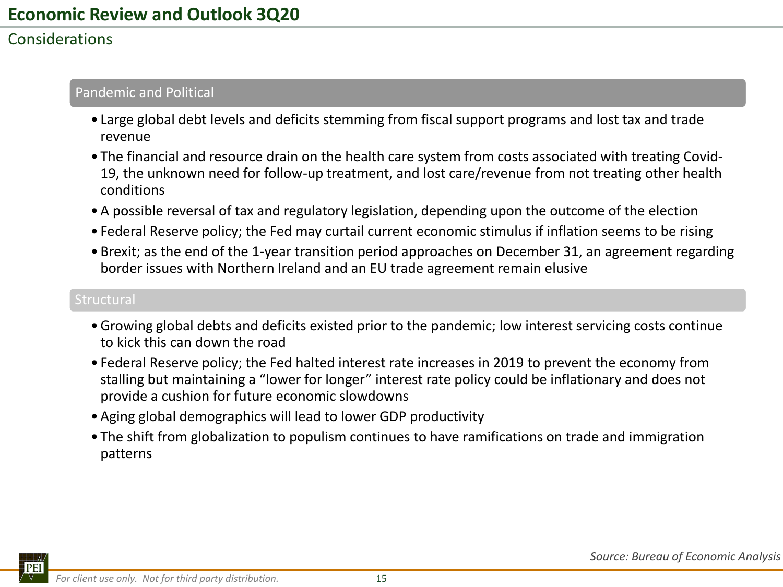## Considerations

#### Pandemic and Political

- Large global debt levels and deficits stemming from fiscal support programs and lost tax and trade revenue
- The financial and resource drain on the health care system from costs associated with treating Covid-19, the unknown need for follow-up treatment, and lost care/revenue from not treating other health conditions
- •A possible reversal of tax and regulatory legislation, depending upon the outcome of the election
- Federal Reserve policy; the Fed may curtail current economic stimulus if inflation seems to be rising
- Brexit; as the end of the 1-year transition period approaches on December 31, an agreement regarding border issues with Northern Ireland and an EU trade agreement remain elusive

#### **Structural**

- •Growing global debts and deficits existed prior to the pandemic; low interest servicing costs continue to kick this can down the road
- Federal Reserve policy; the Fed halted interest rate increases in 2019 to prevent the economy from stalling but maintaining a "lower for longer" interest rate policy could be inflationary and does not provide a cushion for future economic slowdowns
- •Aging global demographics will lead to lower GDP productivity
- The shift from globalization to populism continues to have ramifications on trade and immigration patterns